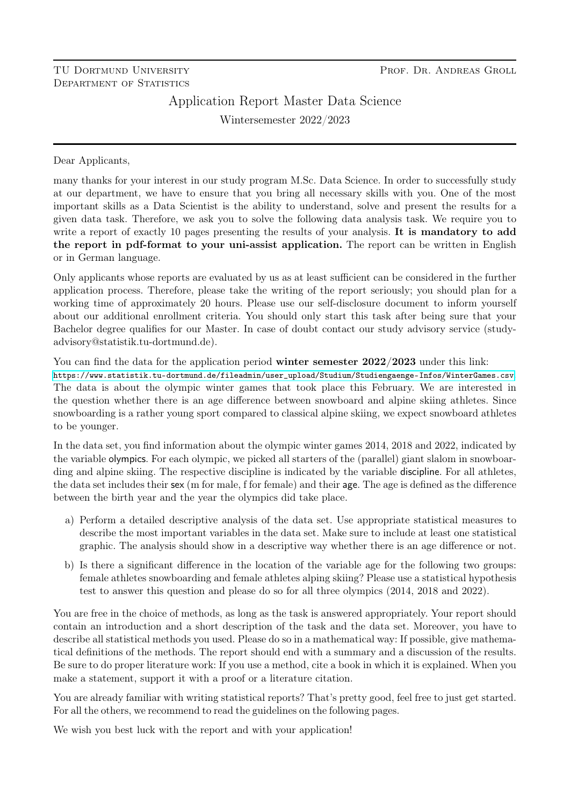## TU DORTMUND UNIVERSITY DEPARTMENT OF STATISTICS

# Application Report Master Data Science

Wintersemester 2022/2023

Dear Applicants,

many thanks for your interest in our study program M.Sc. Data Science. In order to successfully study at our department, we have to ensure that you bring all necessary skills with you. One of the most important skills as a Data Scientist is the ability to understand, solve and present the results for a given data task. Therefore, we ask you to solve the following data analysis task. We require you to write a report of exactly 10 pages presenting the results of your analysis. It is mandatory to add the report in pdf-format to your uni-assist application. The report can be written in English or in German language.

Only applicants whose reports are evaluated by us as at least sufficient can be considered in the further application process. Therefore, please take the writing of the report seriously; you should plan for a working time of approximately 20 hours. Please use our self-disclosure document to inform yourself about our additional enrollment criteria. You should only start this task after being sure that your Bachelor degree qualifies for our Master. In case of doubt contact our study advisory service (studyadvisory@statistik.tu-dortmund.de).

You can find the data for the application period **winter semester 2022/2023** under this link: [https://www.statistik.tu-dortmund.de/fileadmin/user\\_upload/Studium/Studiengaenge-Infos/WinterGames.csv](https://www.statistik.tu-dortmund.de/fileadmin/user_upload/Studium/Studiengaenge-Infos/WinterGames.csv). The data is about the olympic winter games that took place this February. We are interested in the question whether there is an age difference between snowboard and alpine skiing athletes. Since snowboarding is a rather young sport compared to classical alpine skiing, we expect snowboard athletes to be younger.

In the data set, you find information about the olympic winter games 2014, 2018 and 2022, indicated by the variable olympics. For each olympic, we picked all starters of the (parallel) giant slalom in snowboarding and alpine skiing. The respective discipline is indicated by the variable discipline. For all athletes, the data set includes their sex (m for male, f for female) and their age. The age is defined as the difference between the birth year and the year the olympics did take place.

- a) Perform a detailed descriptive analysis of the data set. Use appropriate statistical measures to describe the most important variables in the data set. Make sure to include at least one statistical graphic. The analysis should show in a descriptive way whether there is an age difference or not.
- b) Is there a significant difference in the location of the variable age for the following two groups: female athletes snowboarding and female athletes alping skiing? Please use a statistical hypothesis test to answer this question and please do so for all three olympics (2014, 2018 and 2022).

You are free in the choice of methods, as long as the task is answered appropriately. Your report should contain an introduction and a short description of the task and the data set. Moreover, you have to describe all statistical methods you used. Please do so in a mathematical way: If possible, give mathematical definitions of the methods. The report should end with a summary and a discussion of the results. Be sure to do proper literature work: If you use a method, cite a book in which it is explained. When you make a statement, support it with a proof or a literature citation.

You are already familiar with writing statistical reports? That's pretty good, feel free to just get started. For all the others, we recommend to read the guidelines on the following pages.

We wish you best luck with the report and with your application!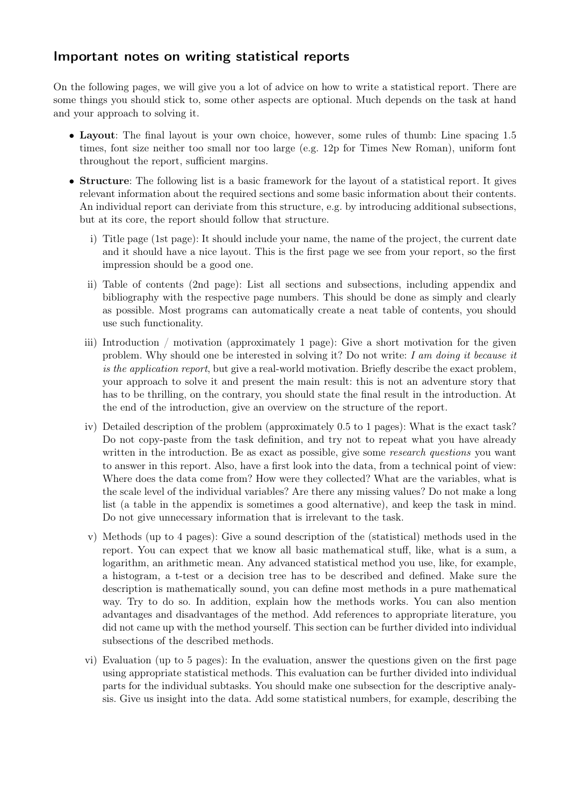## Important notes on writing statistical reports

On the following pages, we will give you a lot of advice on how to write a statistical report. There are some things you should stick to, some other aspects are optional. Much depends on the task at hand and your approach to solving it.

- Layout: The final layout is your own choice, however, some rules of thumb: Line spacing 1.5 times, font size neither too small nor too large (e.g. 12p for Times New Roman), uniform font throughout the report, sufficient margins.
- Structure: The following list is a basic framework for the layout of a statistical report. It gives relevant information about the required sections and some basic information about their contents. An individual report can deriviate from this structure, e.g. by introducing additional subsections, but at its core, the report should follow that structure.
	- i) Title page (1st page): It should include your name, the name of the project, the current date and it should have a nice layout. This is the first page we see from your report, so the first impression should be a good one.
	- ii) Table of contents (2nd page): List all sections and subsections, including appendix and bibliography with the respective page numbers. This should be done as simply and clearly as possible. Most programs can automatically create a neat table of contents, you should use such functionality.
	- iii) Introduction / motivation (approximately 1 page): Give a short motivation for the given problem. Why should one be interested in solving it? Do not write: I am doing it because it is the application report, but give a real-world motivation. Briefly describe the exact problem, your approach to solve it and present the main result: this is not an adventure story that has to be thrilling, on the contrary, you should state the final result in the introduction. At the end of the introduction, give an overview on the structure of the report.
	- iv) Detailed description of the problem (approximately 0.5 to 1 pages): What is the exact task? Do not copy-paste from the task definition, and try not to repeat what you have already written in the introduction. Be as exact as possible, give some *research questions* you want to answer in this report. Also, have a first look into the data, from a technical point of view: Where does the data come from? How were they collected? What are the variables, what is the scale level of the individual variables? Are there any missing values? Do not make a long list (a table in the appendix is sometimes a good alternative), and keep the task in mind. Do not give unnecessary information that is irrelevant to the task.
	- v) Methods (up to 4 pages): Give a sound description of the (statistical) methods used in the report. You can expect that we know all basic mathematical stuff, like, what is a sum, a logarithm, an arithmetic mean. Any advanced statistical method you use, like, for example, a histogram, a t-test or a decision tree has to be described and defined. Make sure the description is mathematically sound, you can define most methods in a pure mathematical way. Try to do so. In addition, explain how the methods works. You can also mention advantages and disadvantages of the method. Add references to appropriate literature, you did not came up with the method yourself. This section can be further divided into individual subsections of the described methods.
	- vi) Evaluation (up to 5 pages): In the evaluation, answer the questions given on the first page using appropriate statistical methods. This evaluation can be further divided into individual parts for the individual subtasks. You should make one subsection for the descriptive analysis. Give us insight into the data. Add some statistical numbers, for example, describing the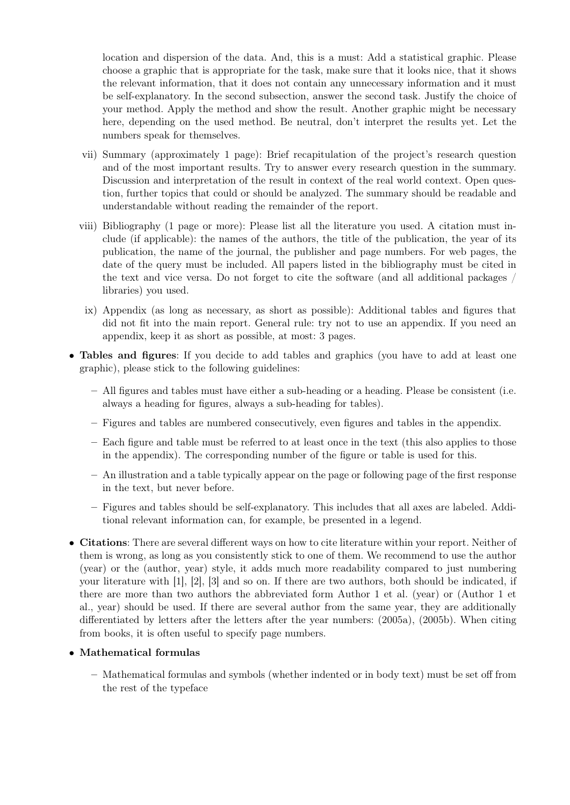location and dispersion of the data. And, this is a must: Add a statistical graphic. Please choose a graphic that is appropriate for the task, make sure that it looks nice, that it shows the relevant information, that it does not contain any unnecessary information and it must be self-explanatory. In the second subsection, answer the second task. Justify the choice of your method. Apply the method and show the result. Another graphic might be necessary here, depending on the used method. Be neutral, don't interpret the results yet. Let the numbers speak for themselves.

- vii) Summary (approximately 1 page): Brief recapitulation of the project's research question and of the most important results. Try to answer every research question in the summary. Discussion and interpretation of the result in context of the real world context. Open question, further topics that could or should be analyzed. The summary should be readable and understandable without reading the remainder of the report.
- viii) Bibliography (1 page or more): Please list all the literature you used. A citation must include (if applicable): the names of the authors, the title of the publication, the year of its publication, the name of the journal, the publisher and page numbers. For web pages, the date of the query must be included. All papers listed in the bibliography must be cited in the text and vice versa. Do not forget to cite the software (and all additional packages / libraries) you used.
	- ix) Appendix (as long as necessary, as short as possible): Additional tables and figures that did not fit into the main report. General rule: try not to use an appendix. If you need an appendix, keep it as short as possible, at most: 3 pages.
- Tables and figures: If you decide to add tables and graphics (you have to add at least one graphic), please stick to the following guidelines:
	- All figures and tables must have either a sub-heading or a heading. Please be consistent (i.e. always a heading for figures, always a sub-heading for tables).
	- Figures and tables are numbered consecutively, even figures and tables in the appendix.
	- Each figure and table must be referred to at least once in the text (this also applies to those in the appendix). The corresponding number of the figure or table is used for this.
	- An illustration and a table typically appear on the page or following page of the first response in the text, but never before.
	- Figures and tables should be self-explanatory. This includes that all axes are labeled. Additional relevant information can, for example, be presented in a legend.
- Citations: There are several different ways on how to cite literature within your report. Neither of them is wrong, as long as you consistently stick to one of them. We recommend to use the author (year) or the (author, year) style, it adds much more readability compared to just numbering your literature with [1], [2], [3] and so on. If there are two authors, both should be indicated, if there are more than two authors the abbreviated form Author 1 et al. (year) or (Author 1 et al., year) should be used. If there are several author from the same year, they are additionally differentiated by letters after the letters after the year numbers: (2005a), (2005b). When citing from books, it is often useful to specify page numbers.

#### • Mathematical formulas

– Mathematical formulas and symbols (whether indented or in body text) must be set off from the rest of the typeface